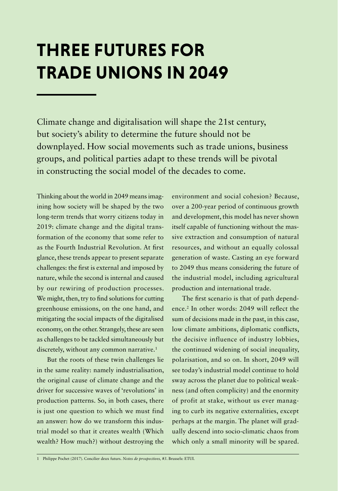## **THREE FUTURES FOR TRADE UNIONS IN 2049**

Climate change and digitalisation will shape the 21st century, but society's ability to determine the future should not be downplayed. How social movements such as trade unions, business groups, and political parties adapt to these trends will be pivotal in constructing the social model of the decades to come.

Thinking about the world in 2049 means imagining how society will be shaped by the two long-term trends that worry citizens today in 2019: climate change and the digital transformation of the economy that some refer to as the Fourth Industrial Revolution. At first glance, these trends appear to present separate challenges: the first is external and imposed by nature, while the second is internal and caused by our rewiring of production processes. We might, then, try to find solutions for cutting greenhouse emissions, on the one hand, and mitigating the social impacts of the digitalised economy, on the other. Strangely, these are seen as challenges to be tackled simultaneously but discretely, without any common narrative.<sup>1</sup>

But the roots of these twin challenges lie in the same reality: namely industrialisation, the original cause of climate change and the driver for successive waves of 'revolutions' in production patterns. So, in both cases, there is just one question to which we must find an answer: how do we transform this industrial model so that it creates wealth (Which wealth? How much?) without destroying the environment and social cohesion? Because, over a 200-year period of continuous growth and development, this model has never shown itself capable of functioning without the massive extraction and consumption of natural resources, and without an equally colossal generation of waste. Casting an eye forward to 2049 thus means considering the future of the industrial model, including agricultural production and international trade.

The first scenario is that of path dependence.<sup>2</sup> In other words: 2049 will reflect the sum of decisions made in the past, in this case, low climate ambitions, diplomatic conflicts, the decisive influence of industry lobbies, the continued widening of social inequality, polarisation, and so on. In short, 2049 will see today's industrial model continue to hold sway across the planet due to political weakness (and often complicity) and the enormity of profit at stake, without us ever managing to curb its negative externalities, except perhaps at the margin. The planet will gradually descend into socio-climatic chaos from which only a small minority will be spared.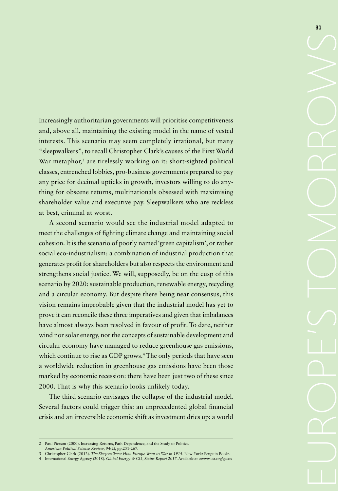Increasingly authoritarian governments will prioritise competitiveness and, above all, maintaining the existing model in the name of vested interests. This scenario may seem completely irrational, but many "sleepwalkers", to recall Christopher Clark's causes of the First World War metaphor,<sup>3</sup> are tirelessly working on it: short-sighted political classes, entrenched lobbies, pro-business governments prepared to pay any price for decimal upticks in growth, investors willing to do anything for obscene returns, multinationals obsessed with maximising shareholder value and executive pay. Sleepwalkers who are reckless at best, criminal at worst.

A second scenario would see the industrial model adapted to meet the challenges of fighting climate change and maintaining social cohesion. It is the scenario of poorly named 'green capitalism', or rather social eco-industrialism: a combination of industrial production that generates profit for shareholders but also respects the environment and strengthens social justice. We will, supposedly, be on the cusp of this scenario by 2020: sustainable production, renewable energy, recycling and a circular economy. But despite there being near consensus, this vision remains improbable given that the industrial model has yet to prove it can reconcile these three imperatives and given that imbalances have almost always been resolved in favour of profit. To date, neither wind nor solar energy, nor the concepts of sustainable development and circular economy have managed to reduce greenhouse gas emissions, which continue to rise as GDP grows.<sup>4</sup> The only periods that have seen a worldwide reduction in greenhouse gas emissions have been those marked by economic recession: there have been just two of these since 2000. That is why this scenario looks unlikely today.

The third scenario envisages the collapse of the industrial model. Several factors could trigger this: an unprecedented global financial crisis and an irreversible economic shift as investment dries up; a world

<sup>2</sup> Paul Pierson (2000). Increasing Returns, Path Dependence, and the Study of Politics*.* 

*American Political Science Review*, 94(2), pp.251-267.

<sup>3</sup> Christopher Clark (2012). *The Sleepwalkers: How Europe Went to War in 1914*. New York: Penguin Books.

<sup>4</sup> International Energy Agency (2018). *Global Energy & CO<sub>2</sub> Status Report 2017*. Available at <www.iea.org/geco>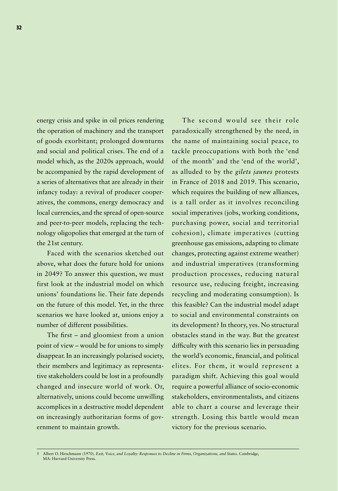energy crisis and spike in oil prices rendering the operation of machinery and the transport of goods exorbitant; prolonged downturns and social and political crises. The end of a model which, as the 2020s approach, would be accompanied by the rapid development of a series of alternatives that are already in their infancy today: a revival of producer cooperatives, the commons, energy democracy and local currencies, and the spread of open-source and peer-to-peer models, replacing the technology oligopolies that emerged at the turn of the 21st century.

Faced with the scenarios sketched out above, what does the future hold for unions in 2049? To answer this question, we must first look at the industrial model on which unions' foundations lie. Their fate depends on the future of this model. Yet, in the three scenarios we have looked at, unions enjoy a number of different possibilities.

The first – and gloomiest from a union point of view – would be for unions to simply disappear. In an increasingly polarised society, their members and legitimacy as representative stakeholders could be lost in a profoundly changed and insecure world of work. Or, alternatively, unions could become unwilling accomplices in a destructive model dependent on increasingly authoritarian forms of government to maintain growth.

The second would see their role paradoxically strengthened by the need, in the name of maintaining social peace, to tackle preoccupations with both the 'end of the month' and the 'end of the world', as alluded to by the *gilets jaunes* protests in France of 2018 and 2019. This scenario, which requires the building of new alliances, is a tall order as it involves reconciling social imperatives (jobs, working conditions, purchasing power, social and territorial cohesion), climate imperatives (cutting greenhouse gas emissions, adapting to climate changes, protecting against extreme weather) and industrial imperatives (transforming production processes, reducing natural resource use, reducing freight, increasing recycling and moderating consumption). Is this feasible? Can the industrial model adapt to social and environmental constraints on its development? In theory, yes. No structural obstacles stand in the way. But the greatest difficulty with this scenario lies in persuading the world's economic, financial, and political elites. For them, it would represent a paradigm shift. Achieving this goal would require a powerful alliance of socio-economic stakeholders, environmentalists, and citizens able to chart a course and leverage their strength. Losing this battle would mean victory for the previous scenario.

<sup>5</sup> Albert O. Hirschmann (1970). *Exit, Voice, and Loyalty: Responses to Decline in Firms, Organizations, and States*. Cambridge, MA: Harvard University Press.